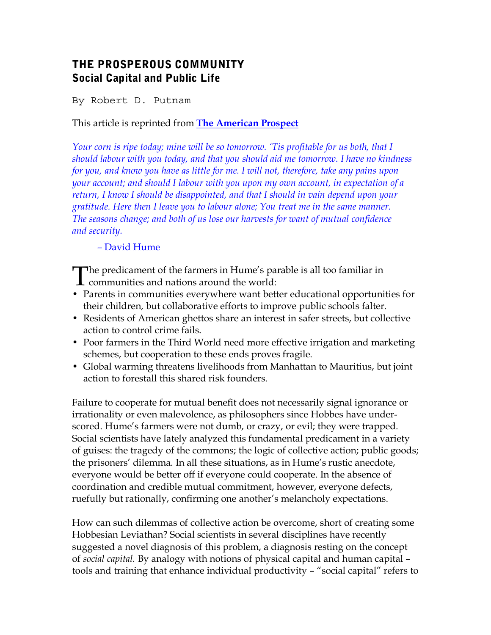# THE PROSPEROUS COMMUNITY Social Capital and Public Life

By Robert D. Putnam

## This article is reprinted from **[The American Prospect](http://www.prospect.org/)**

*Your corn is ripe today; mine will be so tomorrow. 'Tis profitable for us both, that I should labour with you today, and that you should aid me tomorrow. I have no kindness for you, and know you have as little for me. I will not, therefore, take any pains upon your account; and should I labour with you upon my own account, in expectation of a return, I know I should be disappointed, and that I should in vain depend upon your gratitude. Here then I leave you to labour alone; You treat me in the same manner. The seasons change; and both of us lose our harvests for want of mutual confidence and security.*

## *–* David Hume

- The predicament of the farmers in Hume's parable is all too familiar in<br>
communities and nations around the world:<br>
A Parable in accumulation communities are spending to the problem of an actional consertionities communities and nations around the world:
- Parents in communities everywhere want better educational opportunities for their children, but collaborative efforts to improve public schools falter.
- Residents of American ghettos share an interest in safer streets, but collective action to control crime fails.
- Poor farmers in the Third World need more effective irrigation and marketing schemes, but cooperation to these ends proves fragile.
- Global warming threatens livelihoods from Manhattan to Mauritius, but joint action to forestall this shared risk founders.

Failure to cooperate for mutual benefit does not necessarily signal ignorance or irrationality or even malevolence, as philosophers since Hobbes have under scored. Hume's farmers were not dumb, or crazy, or evil; they were trapped. Social scientists have lately analyzed this fundamental predicament in a variety of guises: the tragedy of the commons; the logic of collective action; public goods; the prisoners' dilemma. In all these situations, as in Hume's rustic anecdote, everyone would be better off if everyone could cooperate. In the absence of coordination and credible mutual commitment, however, everyone defects, ruefully but rationally, confirming one another's melancholy expectations.

How can such dilemmas of collective action be overcome, short of creating some Hobbesian Leviathan? Social scientists in several disciplines have recently suggested a novel diagnosis of this problem, a diagnosis resting on the concept of *social capital.* By analogy with notions of physical capital and human capital – tools and training that enhance individual productivity – "social capital" refers to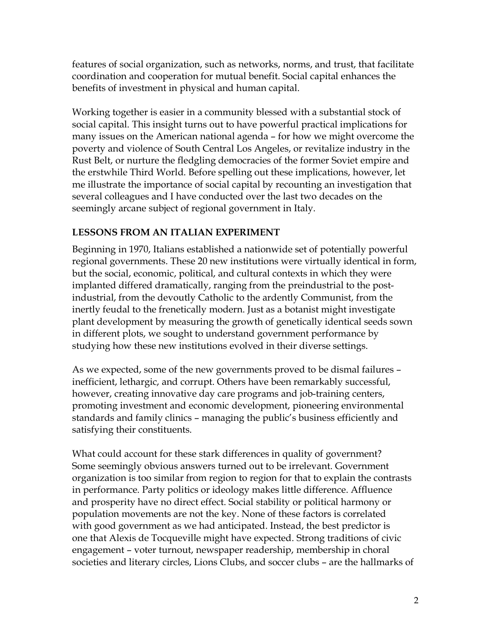features of social organization, such as networks, norms, and trust, that facilitate coordination and cooperation for mutual benefit. Social capital enhances the benefits of investment in physical and human capital.

Working together is easier in a community blessed with a substantial stock of social capital. This insight turns out to have powerful practical implications for many issues on the American national agenda – for how we might overcome the poverty and violence of South Central Los Angeles, or revitalize industry in the Rust Belt, or nurture the fledgling democracies of the former Soviet empire and the erstwhile Third World. Before spelling out these implications, however, let me illustrate the importance of social capital by recounting an investigation that several colleagues and I have conducted over the last two decades on the seemingly arcane subject of regional government in Italy.

## **LESSONS FROM AN ITALIAN EXPERIMENT**

Beginning in 1970, Italians established a nationwide set of potentially powerful regional governments. These 20 new institutions were virtually identical in form, but the social, economic, political, and cultural contexts in which they were implanted differed dramatically, ranging from the preindustrial to the postindustrial, from the devoutly Catholic to the ardently Communist, from the inertly feudal to the frenetically modern. Just as a botanist might investigate plant development by measuring the growth of genetically identical seeds sown in different plots, we sought to understand government performance by studying how these new institutions evolved in their diverse settings.

As we expected, some of the new governments proved to be dismal failures – inefficient, lethargic, and corrupt. Others have been remarkably successful, however, creating innovative day care programs and job-training centers, promoting investment and economic development, pioneering environmental standards and family clinics – managing the public's business efficiently and satisfying their constituents.

What could account for these stark differences in quality of government? Some seemingly obvious answers turned out to be irrelevant. Government organization is too similar from region to region for that to explain the contrasts in performance. Party politics or ideology makes little difference. Affluence and prosperity have no direct effect. Social stability or political harmony or population movements are not the key. None of these factors is correlated with good government as we had anticipated. Instead, the best predictor is one that Alexis de Tocqueville might have expected. Strong traditions of civic engagement – voter turnout, newspaper readership, membership in choral societies and literary circles, Lions Clubs, and soccer clubs – are the hallmarks of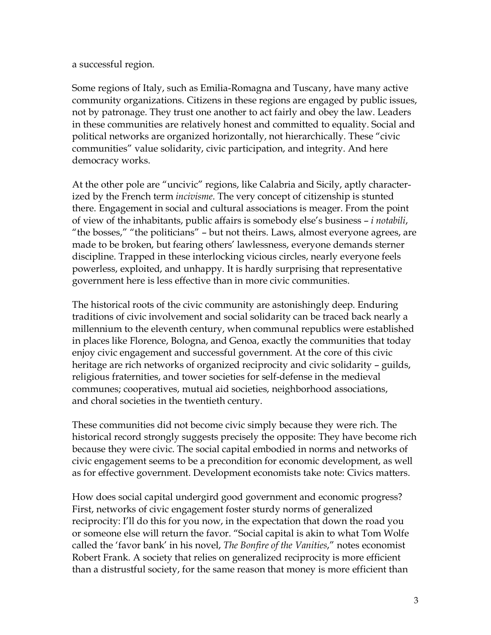#### a successful region.

Some regions of Italy, such as Emilia-Romagna and Tuscany, have many active community organizations. Citizens in these regions are engaged by public issues, not by patronage. They trust one another to act fairly and obey the law. Leaders in these communities are relatively honest and committed to equality. Social and political networks are organized horizontally, not hierarchically. These "civic communities" value solidarity, civic participation, and integrity. And here democracy works.

At the other pole are "uncivic" regions, like Calabria and Sicily, aptly characterized by the French term *incivisme*. The very concept of citizenship is stunted there. Engagement in social and cultural associations is meager. From the point of view of the inhabitants, public affairs is somebody else's business – *i notabili*, "the bosses," "the politicians" – but not theirs. Laws, almost everyone agrees, are made to be broken, but fearing others' lawlessness, everyone demands sterner discipline. Trapped in these interlocking vicious circles, nearly everyone feels powerless, exploited, and unhappy. It is hardly surprising that representative government here is less effective than in more civic communities.

The historical roots of the civic community are astonishingly deep. Enduring traditions of civic involvement and social solidarity can be traced back nearly a millennium to the eleventh century, when communal republics were established in places like Florence, Bologna, and Genoa, exactly the communities that today enjoy civic engagement and successful government. At the core of this civic heritage are rich networks of organized reciprocity and civic solidarity – guilds, religious fraternities, and tower societies for self-defense in the medieval communes; cooperatives, mutual aid societies, neighborhood associations, and choral societies in the twentieth century.

These communities did not become civic simply because they were rich. The historical record strongly suggests precisely the opposite: They have become rich because they were civic. The social capital embodied in norms and networks of civic engagement seems to be a precondition for economic development, as well as for effective government. Development economists take note: Civics matters.

How does social capital undergird good government and economic progress? First, networks of civic engagement foster sturdy norms of generalized reciprocity: I'll do this for you now, in the expectation that down the road you or someone else will return the favor. "Social capital is akin to what Tom Wolfe called the 'favor bank' in his novel, *The Bonfire of the Vanities*," notes economist Robert Frank. A society that relies on generalized reciprocity is more efficient than a distrustful society, for the same reason that money is more efficient than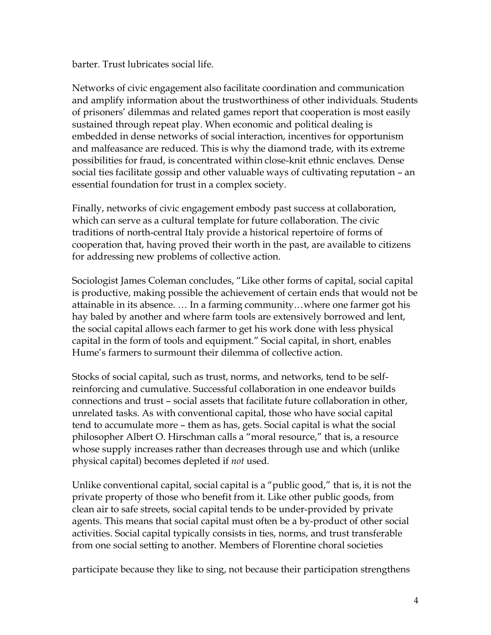barter. Trust lubricates social life.

Networks of civic engagement also facilitate coordination and communication and amplify information about the trustworthiness of other individuals. Students of prisoners' dilemmas and related games report that cooperation is most easily sustained through repeat play. When economic and political dealing is embedded in dense networks of social interaction, incentives for opportunism and malfeasance are reduced. This is why the diamond trade, with its extreme possibilities for fraud, is concentrated within closeknit ethnic enclaves. Dense social ties facilitate gossip and other valuable ways of cultivating reputation – an essential foundation for trust in a complex society.

Finally, networks of civic engagement embody past success at collaboration, which can serve as a cultural template for future collaboration. The civic traditions of north-central Italy provide a historical repertoire of forms of cooperation that, having proved their worth in the past, are available to citizens for addressing new problems of collective action.

Sociologist James Coleman concludes, "Like other forms of capital, social capital is productive, making possible the achievement of certain ends that would not be attainable in its absence. … In a farming community…where one farmer got his hay baled by another and where farm tools are extensively borrowed and lent, the social capital allows each farmer to get his work done with less physical capital in the form of tools and equipment." Social capital, in short, enables Hume's farmers to surmount their dilemma of collective action.

Stocks of social capital, such as trust, norms, and networks, tend to be selfreinforcing and cumulative. Successful collaboration in one endeavor builds connections and trust – social assets that facilitate future collaboration in other, unrelated tasks. As with conventional capital, those who have social capital tend to accumulate more – them as has, gets. Social capital is what the social philosopher Albert O. Hirschman calls a "moral resource," that is, a resource whose supply increases rather than decreases through use and which (unlike physical capital) becomes depleted if*not* used.

Unlike conventional capital, social capital is a "public good," that is, it is not the private property of those who benefit from it. Like other public goods, from clean air to safe streets, social capital tends to be under-provided by private agents. This means that social capital must often be a by-product of other social activities. Social capital typically consists in ties, norms, and trust transferable from one social setting to another. Members of Florentine choral societies

participate because they like to sing, not because their participation strengthens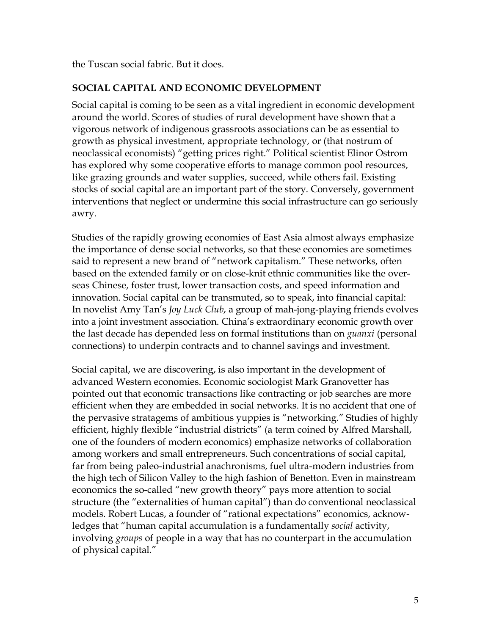the Tuscan social fabric. But it does.

### **SOCIAL CAPITAL AND ECONOMIC DEVELOPMENT**

Social capital is coming to be seen as a vital ingredient in economic development around the world. Scores of studies of rural development have shown that a vigorous network of indigenous grassroots associations can be as essential to growth as physical investment, appropriate technology, or (that nostrum of neoclassical economists) "getting prices right." Political scientist Elinor Ostrom has explored why some cooperative efforts to manage common pool resources, like grazing grounds and water supplies, succeed, while others fail. Existing stocks of social capital are an important part of the story. Conversely, government interventions that neglect or undermine this social infrastructure can go seriously awry.

Studies of the rapidly growing economies of East Asia almost always emphasize the importance of dense social networks, so that these economies are sometimes said to represent a new brand of "network capitalism." These networks, often based on the extended family or on close-knit ethnic communities like the overseas Chinese, foster trust, lower transaction costs, and speed information and innovation. Social capital can be transmuted, so to speak, into financial capital: In novelist Amy Tan's *Joy Luck Club*, a group of mah-jong-playing friends evolves into a joint investment association. China's extraordinary economic growth over the last decade has depended less on formal institutions than on *guanxi* (personal connections) to underpin contracts and to channel savings and investment.

Social capital, we are discovering, is also important in the development of advanced Western economies. Economic sociologist Mark Granovetter has pointed out that economic transactions like contracting or job searches are more efficient when they are embedded in social networks. It is no accident that one of the pervasive stratagems of ambitious yuppies is "networking." Studies of highly efficient, highly flexible "industrial districts" (a term coined by Alfred Marshall, one of the founders of modern economics) emphasize networks of collaboration among workers and small entrepreneurs. Such concentrations of social capital, far from being paleo-industrial anachronisms, fuel ultra-modern industries from the high tech of Silicon Valley to the high fashion of Benetton. Even in mainstream economics the so-called "new growth theory" pays more attention to social structure (the "externalities of human capital") than do conventional neoclassical models. Robert Lucas, a founder of "rational expectations" economics, acknowledges that "human capital accumulation is a fundamentally *social* activity, involving *groups* of people in a way that has no counterpart in the accumulation of physical capital."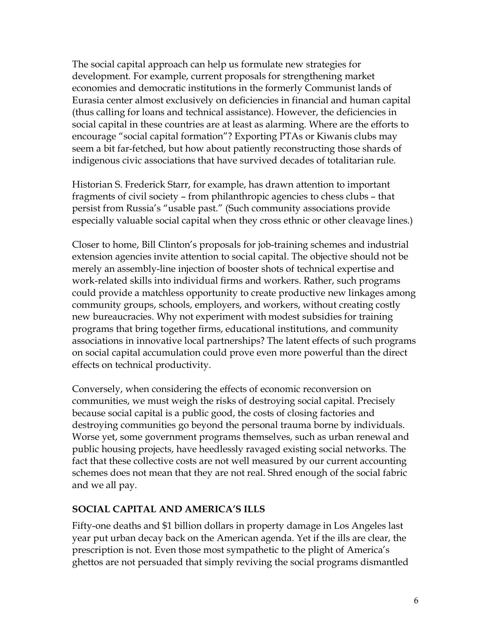The social capital approach can help us formulate new strategies for development. For example, current proposals for strengthening market economies and democratic institutions in the formerly Communist lands of Eurasia center almost exclusively on deficiencies in financial and human capital (thus calling for loans and technical assistance). However, the deficiencies in social capital in these countries are at least as alarming. Where are the efforts to encourage "social capital formation"? Exporting PTAs or Kiwanis clubs may seem a bit far-fetched, but how about patiently reconstructing those shards of indigenous civic associations that have survived decades of totalitarian rule.

Historian S. Frederick Starr, for example, has drawn attention to important fragments of civil society – from philanthropic agencies to chess clubs – that persist from Russia's "usable past." (Such community associations provide especially valuable social capital when they cross ethnic or other cleavage lines.)

Closer to home, Bill Clinton's proposals for job-training schemes and industrial extension agencies invite attention to social capital. The objective should not be merely an assembly-line injection of booster shots of technical expertise and work-related skills into individual firms and workers. Rather, such programs could provide a matchless opportunity to create productive new linkages among community groups, schools, employers, and workers, without creating costly new bureaucracies. Why not experiment with modest subsidies for training programs that bring together firms, educational institutions, and community associations in innovative local partnerships? The latent effects of such programs on social capital accumulation could prove even more powerful than the direct effects on technical productivity.

Conversely, when considering the effects of economic reconversion on communities, we must weigh the risks of destroying social capital. Precisely because social capital is a public good, the costs of closing factories and destroying communities go beyond the personal trauma borne by individuals. Worse yet, some government programs themselves, such as urban renewal and public housing projects, have heedlessly ravaged existing social networks. The fact that these collective costs are not well measured by our current accounting schemes does not mean that they are not real. Shred enough of the social fabric and we all pay.

## **SOCIAL CAPITAL AND AMERICA'S ILLS**

Fifty-one deaths and \$1 billion dollars in property damage in Los Angeles last year put urban decay back on the American agenda. Yet if the ills are clear, the prescription is not. Even those most sympathetic to the plight of America's ghettos are not persuaded that simply reviving the social programs dismantled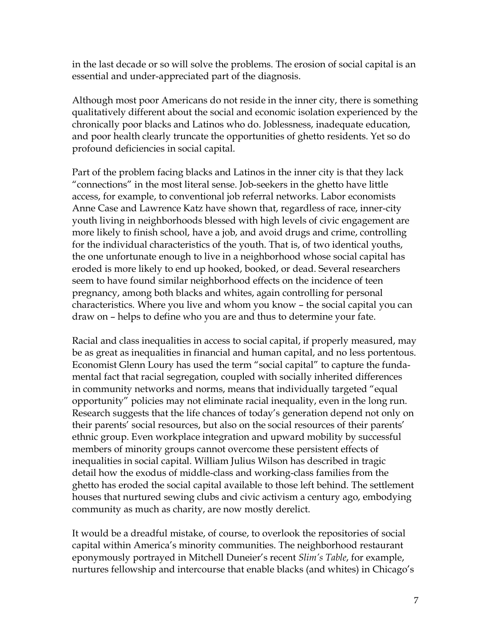in the last decade or so will solve the problems. The erosion of social capital is an essential and under-appreciated part of the diagnosis.

Although most poor Americans do not reside in the inner city, there is something qualitatively different about the social and economic isolation experienced by the chronically poor blacks and Latinos who do. Joblessness, inadequate education, and poor health clearly truncate the opportunities of ghetto residents. Yet so do profound deficiencies in social capital.

Part of the problem facing blacks and Latinos in the inner city is that they lack "connections" in the most literal sense. Job-seekers in the ghetto have little access, for example, to conventional job referral networks. Labor economists Anne Case and Lawrence Katz have shown that, regardless of race, inner-city youth living in neighborhoods blessed with high levels of civic engagement are more likely to finish school, have a job, and avoid drugs and crime, controlling for the individual characteristics of the youth. That is, of two identical youths, the one unfortunate enough to live in a neighborhood whose social capital has eroded is more likely to end up hooked, booked, or dead. Several researchers seem to have found similar neighborhood effects on the incidence of teen pregnancy, among both blacks and whites, again controlling for personal characteristics. Where you live and whom you know – the social capital you can draw on – helps to define who you are and thus to determine your fate.

Racial and class inequalities in access to social capital, if properly measured, may be as great as inequalities in financial and human capital, and no less portentous. Economist Glenn Loury has used the term "social capital" to capture the fundamental fact that racial segregation, coupled with socially inherited differences in community networks and norms, means that individually targeted "equal opportunity" policies may not eliminate racial inequality, even in the long run. Research suggests that the life chances of today's generation depend not only on their parents' social resources, but also on the social resources of their parents' ethnic group. Even workplace integration and upward mobility by successful members of minority groups cannot overcome these persistent effects of inequalities in social capital. William Julius Wilson has described in tragic detail how the exodus of middle-class and working-class families from the ghetto has eroded the social capital available to those left behind. The settlement houses that nurtured sewing clubs and civic activism a century ago, embodying community as much as charity, are now mostly derelict.

It would be a dreadful mistake, of course, to overlook the repositories of social capital within America's minority communities. The neighborhood restaurant eponymously portrayed in Mitchell Duneier's recent *Slim's Table*, for example, nurtures fellowship and intercourse that enable blacks (and whites) in Chicago's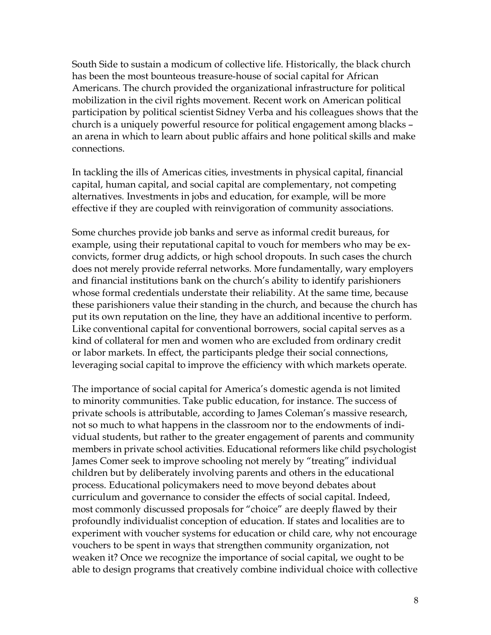South Side to sustain a modicum of collective life. Historically, the black church has been the most bounteous treasure-house of social capital for African Americans. The church provided the organizational infrastructure for political mobilization in the civil rights movement. Recent work on American political participation by political scientist Sidney Verba and his colleagues shows that the church is a uniquely powerful resource for political engagement among blacks – an arena in which to learn about public affairs and hone political skills and make connections.

In tackling the ills of Americas cities, investments in physical capital, financial capital, human capital, and social capital are complementary, not competing alternatives. Investments in jobs and education, for example, will be more effective if they are coupled with reinvigoration of community associations.

Some churches provide job banks and serve as informal credit bureaus, for example, using their reputational capital to vouch for members who may be exconvicts, former drug addicts, or high school dropouts. In such cases the church does not merely provide referral networks. More fundamentally, wary employers and financial institutions bank on the church's ability to identify parishioners whose formal credentials understate their reliability. At the same time, because these parishioners value their standing in the church, and because the church has put its own reputation on the line, they have an additional incentive to perform. Like conventional capital for conventional borrowers, social capital serves as a kind of collateral for men and women who are excluded from ordinary credit or labor markets. In effect, the participants pledge their social connections, leveraging social capital to improve the efficiency with which markets operate.

The importance of social capital for America's domestic agenda is not limited to minority communities. Take public education, for instance. The success of private schools is attributable, according to James Coleman's massive research, not so much to what happens in the classroom nor to the endowments of indi vidual students, but rather to the greater engagement of parents and community members in private school activities. Educational reformers like child psychologist James Comer seek to improve schooling not merely by "treating" individual children but by deliberately involving parents and others in the educational process. Educational policymakers need to move beyond debates about curriculum and governance to consider the effects of social capital. Indeed, most commonly discussed proposals for "choice" are deeply flawed by their profoundly individualist conception of education. If states and localities are to experiment with voucher systems for education or child care, why not encourage vouchers to be spent in ways that strengthen community organization, not weaken it? Once we recognize the importance of social capital, we ought to be able to design programs that creatively combine individual choice with collective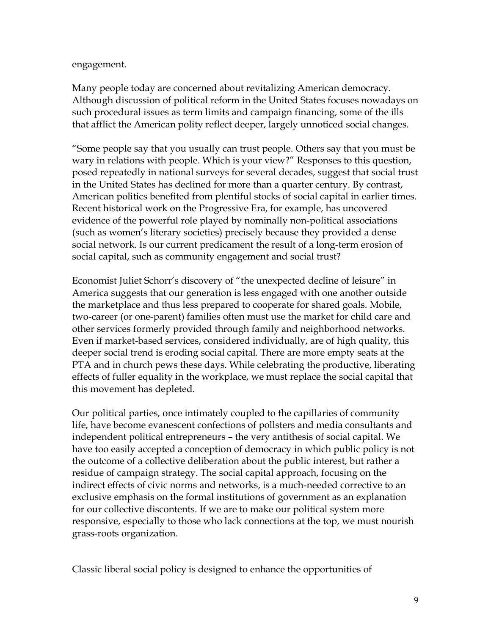#### engagement.

Many people today are concerned about revitalizing American democracy. Although discussion of political reform in the United States focuses nowadays on such procedural issues as term limits and campaign financing, some of the ills that afflict the American polity reflect deeper, largely unnoticed social changes.

"Some people say that you usually can trust people. Others say that you must be wary in relations with people. Which is your view?" Responses to this question, posed repeatedly in national surveys for several decades, suggest that social trust in the United States has declined for more than a quarter century. By contrast, American politics benefited from plentiful stocks of social capital in earlier times. Recent historical work on the Progressive Era, for example, has uncovered evidence of the powerful role played by nominally non-political associations (such as women's literary societies) precisely because they provided a dense social network. Is our current predicament the result of a long-term erosion of social capital, such as community engagement and social trust?

Economist Juliet Schorr's discovery of "the unexpected decline of leisure" in America suggests that our generation is less engaged with one another outside the marketplace and thus less prepared to cooperate for shared goals. Mobile, two-career (or one-parent) families often must use the market for child care and other services formerly provided through family and neighborhood networks. Even if market-based services, considered individually, are of high quality, this deeper social trend is eroding social capital. There are more empty seats at the PTA and in church pews these days. While celebrating the productive, liberating effects of fuller equality in the workplace, we must replace the social capital that this movement has depleted.

Our political parties, once intimately coupled to the capillaries of community life, have become evanescent confections of pollsters and media consultants and independent political entrepreneurs – the very antithesis of social capital. We have too easily accepted a conception of democracy in which public policy is not the outcome of a collective deliberation about the public interest, but rather a residue of campaign strategy. The social capital approach, focusing on the indirect effects of civic norms and networks, is a much-needed corrective to an exclusive emphasis on the formal institutions of government as an explanation for our collective discontents. If we are to make our political system more responsive, especially to those who lack connections at the top, we must nourish grass-roots organization.

Classic liberal social policy is designed to enhance the opportunities of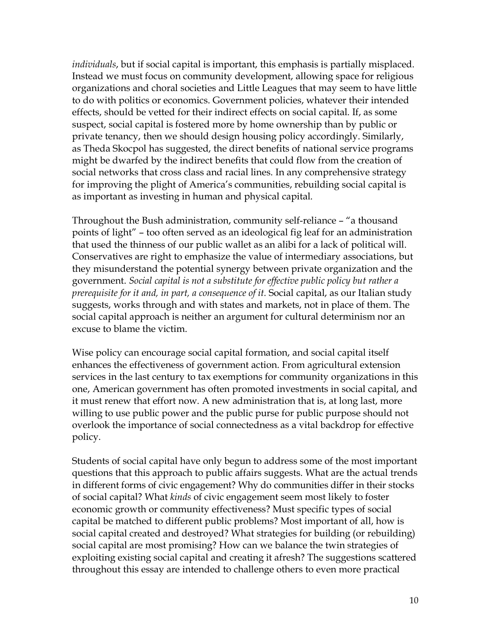*individuals*, but if social capital is important, this emphasis is partially misplaced. Instead we must focus on community development, allowing space for religious organizations and choral societies and Little Leagues that may seem to have little to do with politics or economics. Government policies, whatever their intended effects, should be vetted for their indirect effects on social capital. If, as some suspect, social capital is fostered more by home ownership than by public or private tenancy, then we should design housing policy accordingly. Similarly, as Theda Skocpol has suggested, the direct benefits of national service programs might be dwarfed by the indirect benefits that could flow from the creation of social networks that cross class and racial lines. In any comprehensive strategy for improving the plight of America's communities, rebuilding social capital is as important as investing in human and physical capital.

Throughout the Bush administration, community self-reliance – "a thousand points of light" – too often served as an ideological fig leaf for an administration that used the thinness of our public wallet as an alibi for a lack of political will. Conservatives are right to emphasize the value of intermediary associations, but they misunderstand the potential synergy between private organization and the government. *Social capital is not a substitute for effective public policy but rather a prerequisite for it and, in part, a consequence of it.* Social capital, as our Italian study suggests, works through and with states and markets, not in place of them. The social capital approach is neither an argument for cultural determinism nor an excuse to blame the victim.

Wise policy can encourage social capital formation, and social capital itself enhances the effectiveness of government action. From agricultural extension services in the last century to tax exemptions for community organizations in this one, American government has often promoted investments in social capital, and it must renew that effort now. A new administration that is, at long last, more willing to use public power and the public purse for public purpose should not overlook the importance of social connectedness as a vital backdrop for effective policy.

Students of social capital have only begun to address some of the most important questions that this approach to public affairs suggests. What are the actual trends in different forms of civic engagement? Why do communities differ in their stocks of social capital? What *kinds* of civic engagement seem most likely to foster economic growth or community effectiveness? Must specific types of social capital be matched to different public problems? Most important of all, how is social capital created and destroyed? What strategies for building (or rebuilding) social capital are most promising? How can we balance the twin strategies of exploiting existing social capital and creating it afresh? The suggestions scattered throughout this essay are intended to challenge others to even more practical